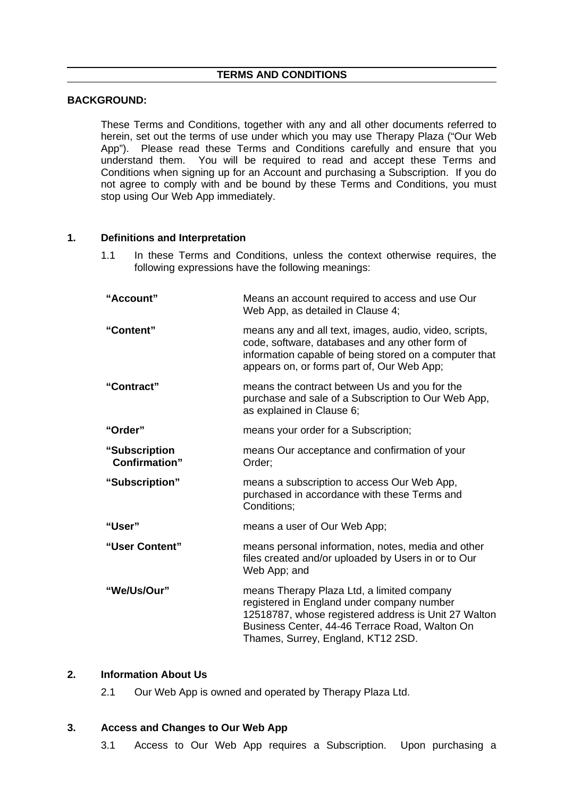#### **TERMS AND CONDITIONS**

### **BACKGROUND:**

These Terms and Conditions, together with any and all other documents referred to herein, set out the terms of use under which you may use Therapy Plaza ("Our Web App"). Please read these Terms and Conditions carefully and ensure that you understand them. You will be required to read and accept these Terms and Conditions when signing up for an Account and purchasing a Subscription. If you do not agree to comply with and be bound by these Terms and Conditions, you must stop using Our Web App immediately.

### **1. Definitions and Interpretation**

1.1 In these Terms and Conditions, unless the context otherwise requires, the following expressions have the following meanings:

| "Account"                              | Means an account required to access and use Our<br>Web App, as detailed in Clause 4;                                                                                                                                                     |
|----------------------------------------|------------------------------------------------------------------------------------------------------------------------------------------------------------------------------------------------------------------------------------------|
| "Content"                              | means any and all text, images, audio, video, scripts,<br>code, software, databases and any other form of<br>information capable of being stored on a computer that<br>appears on, or forms part of, Our Web App;                        |
| "Contract"                             | means the contract between Us and you for the<br>purchase and sale of a Subscription to Our Web App,<br>as explained in Clause 6;                                                                                                        |
| "Order"                                | means your order for a Subscription;                                                                                                                                                                                                     |
| "Subscription<br><b>Confirmation</b> " | means Our acceptance and confirmation of your<br>Order;                                                                                                                                                                                  |
| "Subscription"                         | means a subscription to access Our Web App,<br>purchased in accordance with these Terms and<br>Conditions;                                                                                                                               |
| "User"                                 | means a user of Our Web App;                                                                                                                                                                                                             |
| "User Content"                         | means personal information, notes, media and other<br>files created and/or uploaded by Users in or to Our<br>Web App; and                                                                                                                |
| "We/Us/Our"                            | means Therapy Plaza Ltd, a limited company<br>registered in England under company number<br>12518787, whose registered address is Unit 27 Walton<br>Business Center, 44-46 Terrace Road, Walton On<br>Thames, Surrey, England, KT12 2SD. |

### **2. Information About Us**

2.1 Our Web App is owned and operated by Therapy Plaza Ltd.

# **3. Access and Changes to Our Web App**

3.1 Access to Our Web App requires a Subscription. Upon purchasing a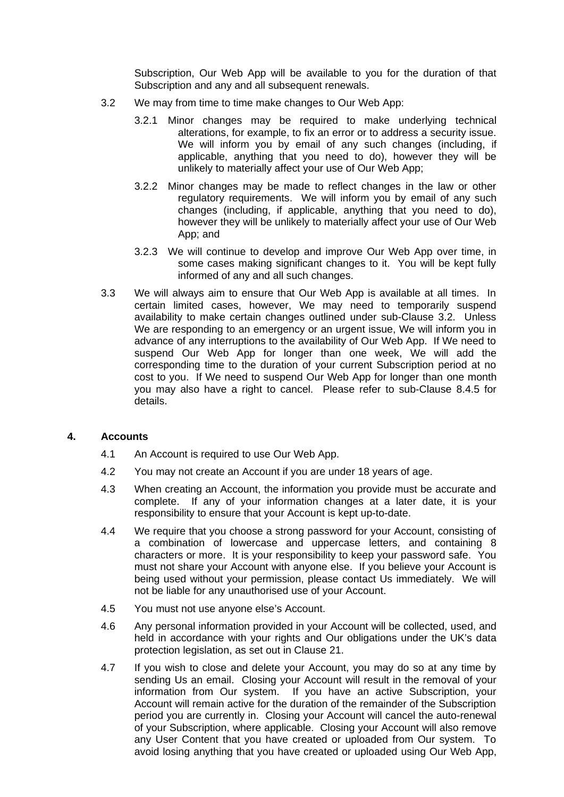Subscription, Our Web App will be available to you for the duration of that Subscription and any and all subsequent renewals.

- 3.2 We may from time to time make changes to Our Web App:
	- 3.2.1 Minor changes may be required to make underlying technical alterations, for example, to fix an error or to address a security issue. We will inform you by email of any such changes (including, if applicable, anything that you need to do), however they will be unlikely to materially affect your use of Our Web App;
	- 3.2.2 Minor changes may be made to reflect changes in the law or other regulatory requirements. We will inform you by email of any such changes (including, if applicable, anything that you need to do), however they will be unlikely to materially affect your use of Our Web App; and
	- 3.2.3 We will continue to develop and improve Our Web App over time, in some cases making significant changes to it. You will be kept fully informed of any and all such changes.
- 3.3 We will always aim to ensure that Our Web App is available at all times. In certain limited cases, however, We may need to temporarily suspend availability to make certain changes outlined under sub-Clause 3.2. Unless We are responding to an emergency or an urgent issue, We will inform you in advance of any interruptions to the availability of Our Web App. If We need to suspend Our Web App for longer than one week, We will add the corresponding time to the duration of your current Subscription period at no cost to you. If We need to suspend Our Web App for longer than one month you may also have a right to cancel. Please refer to sub-Clause 8.4.5 for details.

### **4. Accounts**

- 4.1 An Account is required to use Our Web App.
- 4.2 You may not create an Account if you are under 18 years of age.
- 4.3 When creating an Account, the information you provide must be accurate and complete. If any of your information changes at a later date, it is your responsibility to ensure that your Account is kept up-to-date.
- 4.4 We require that you choose a strong password for your Account, consisting of a combination of lowercase and uppercase letters, and containing 8 characters or more. It is your responsibility to keep your password safe. You must not share your Account with anyone else. If you believe your Account is being used without your permission, please contact Us immediately. We will not be liable for any unauthorised use of your Account.
- 4.5 You must not use anyone else's Account.
- 4.6 Any personal information provided in your Account will be collected, used, and held in accordance with your rights and Our obligations under the UK's data protection legislation, as set out in Clause 21.
- 4.7 If you wish to close and delete your Account, you may do so at any time by sending Us an email. Closing your Account will result in the removal of your information from Our system. If you have an active Subscription, your Account will remain active for the duration of the remainder of the Subscription period you are currently in. Closing your Account will cancel the auto-renewal of your Subscription, where applicable. Closing your Account will also remove any User Content that you have created or uploaded from Our system. To avoid losing anything that you have created or uploaded using Our Web App,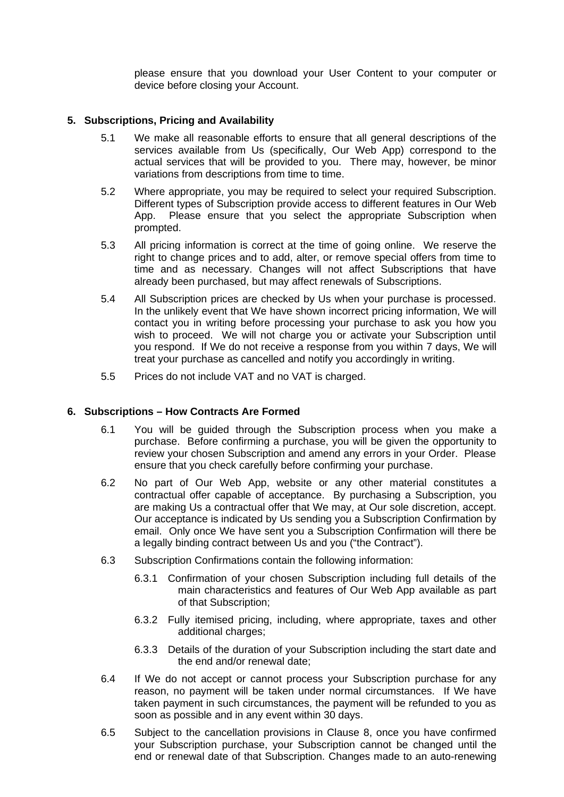please ensure that you download your User Content to your computer or device before closing your Account.

# **5. Subscriptions, Pricing and Availability**

- 5.1 We make all reasonable efforts to ensure that all general descriptions of the services available from Us (specifically, Our Web App) correspond to the actual services that will be provided to you. There may, however, be minor variations from descriptions from time to time.
- 5.2 Where appropriate, you may be required to select your required Subscription. Different types of Subscription provide access to different features in Our Web App. Please ensure that you select the appropriate Subscription when prompted.
- 5.3 All pricing information is correct at the time of going online. We reserve the right to change prices and to add, alter, or remove special offers from time to time and as necessary. Changes will not affect Subscriptions that have already been purchased, but may affect renewals of Subscriptions.
- 5.4 All Subscription prices are checked by Us when your purchase is processed. In the unlikely event that We have shown incorrect pricing information, We will contact you in writing before processing your purchase to ask you how you wish to proceed. We will not charge you or activate your Subscription until you respond. If We do not receive a response from you within 7 days, We will treat your purchase as cancelled and notify you accordingly in writing.
- 5.5 Prices do not include VAT and no VAT is charged.

# **6. Subscriptions – How Contracts Are Formed**

- 6.1 You will be guided through the Subscription process when you make a purchase. Before confirming a purchase, you will be given the opportunity to review your chosen Subscription and amend any errors in your Order. Please ensure that you check carefully before confirming your purchase.
- 6.2 No part of Our Web App, website or any other material constitutes a contractual offer capable of acceptance. By purchasing a Subscription, you are making Us a contractual offer that We may, at Our sole discretion, accept. Our acceptance is indicated by Us sending you a Subscription Confirmation by email. Only once We have sent you a Subscription Confirmation will there be a legally binding contract between Us and you ("the Contract").
- 6.3 Subscription Confirmations contain the following information:
	- 6.3.1 Confirmation of your chosen Subscription including full details of the main characteristics and features of Our Web App available as part of that Subscription;
	- 6.3.2 Fully itemised pricing, including, where appropriate, taxes and other additional charges;
	- 6.3.3 Details of the duration of your Subscription including the start date and the end and/or renewal date;
- 6.4 If We do not accept or cannot process your Subscription purchase for any reason, no payment will be taken under normal circumstances. If We have taken payment in such circumstances, the payment will be refunded to you as soon as possible and in any event within 30 days.
- 6.5 Subject to the cancellation provisions in Clause 8, once you have confirmed your Subscription purchase, your Subscription cannot be changed until the end or renewal date of that Subscription. Changes made to an auto-renewing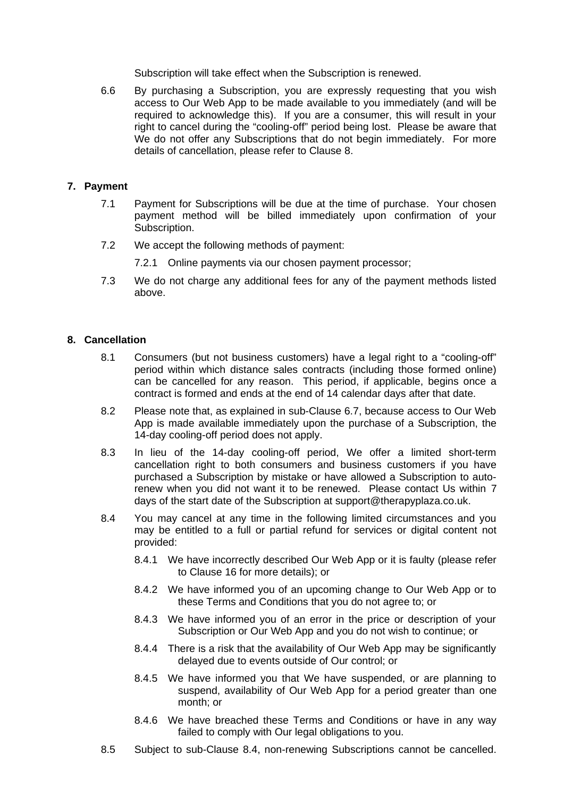Subscription will take effect when the Subscription is renewed.

6.6 By purchasing a Subscription, you are expressly requesting that you wish access to Our Web App to be made available to you immediately (and will be required to acknowledge this). If you are a consumer, this will result in your right to cancel during the "cooling-off" period being lost. Please be aware that We do not offer any Subscriptions that do not begin immediately. For more details of cancellation, please refer to Clause 8.

# **7. Payment**

- 7.1 Payment for Subscriptions will be due at the time of purchase. Your chosen payment method will be billed immediately upon confirmation of your Subscription.
- 7.2 We accept the following methods of payment:
	- 7.2.1 Online payments via our chosen payment processor;
- 7.3 We do not charge any additional fees for any of the payment methods listed above.

# **8. Cancellation**

- 8.1 Consumers (but not business customers) have a legal right to a "cooling-off" period within which distance sales contracts (including those formed online) can be cancelled for any reason. This period, if applicable, begins once a contract is formed and ends at the end of 14 calendar days after that date.
- 8.2 Please note that, as explained in sub-Clause 6.7, because access to Our Web App is made available immediately upon the purchase of a Subscription, the 14-day cooling-off period does not apply.
- 8.3 In lieu of the 14-day cooling-off period, We offer a limited short-term cancellation right to both consumers and business customers if you have purchased a Subscription by mistake or have allowed a Subscription to autorenew when you did not want it to be renewed. Please contact Us within 7 days of the start date of the Subscription at support@therapyplaza.co.uk.
- 8.4 You may cancel at any time in the following limited circumstances and you may be entitled to a full or partial refund for services or digital content not provided:
	- 8.4.1 We have incorrectly described Our Web App or it is faulty (please refer to Clause 16 for more details); or
	- 8.4.2 We have informed you of an upcoming change to Our Web App or to these Terms and Conditions that you do not agree to; or
	- 8.4.3 We have informed you of an error in the price or description of your Subscription or Our Web App and you do not wish to continue; or
	- 8.4.4 There is a risk that the availability of Our Web App may be significantly delayed due to events outside of Our control; or
	- 8.4.5 We have informed you that We have suspended, or are planning to suspend, availability of Our Web App for a period greater than one month; or
	- 8.4.6 We have breached these Terms and Conditions or have in any way failed to comply with Our legal obligations to you.
- 8.5 Subject to sub-Clause 8.4, non-renewing Subscriptions cannot be cancelled.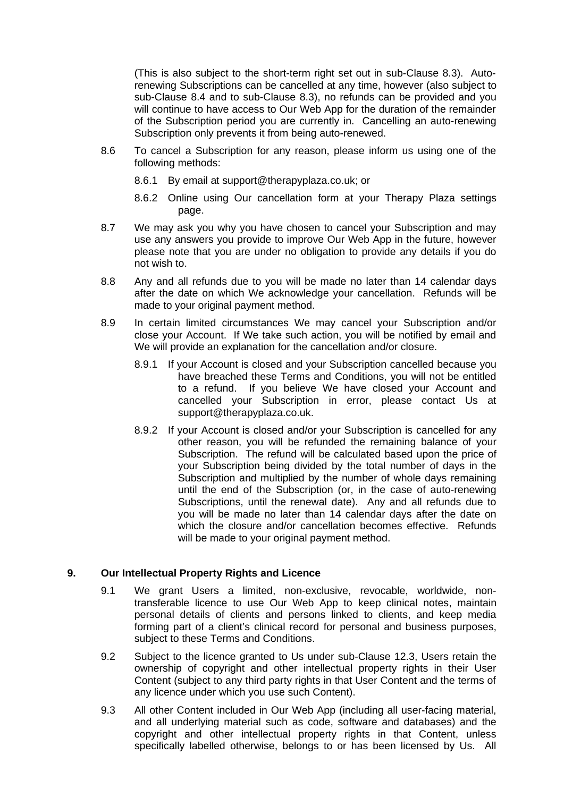(This is also subject to the short-term right set out in sub-Clause 8.3). Autorenewing Subscriptions can be cancelled at any time, however (also subject to sub-Clause 8.4 and to sub-Clause 8.3), no refunds can be provided and you will continue to have access to Our Web App for the duration of the remainder of the Subscription period you are currently in. Cancelling an auto-renewing Subscription only prevents it from being auto-renewed.

- 8.6 To cancel a Subscription for any reason, please inform us using one of the following methods:
	- 8.6.1 By email at support@therapyplaza.co.uk; or
	- 8.6.2 Online using Our cancellation form at your Therapy Plaza settings page.
- 8.7 We may ask you why you have chosen to cancel your Subscription and may use any answers you provide to improve Our Web App in the future, however please note that you are under no obligation to provide any details if you do not wish to.
- 8.8 Any and all refunds due to you will be made no later than 14 calendar days after the date on which We acknowledge your cancellation. Refunds will be made to your original payment method.
- 8.9 In certain limited circumstances We may cancel your Subscription and/or close your Account. If We take such action, you will be notified by email and We will provide an explanation for the cancellation and/or closure.
	- 8.9.1 If your Account is closed and your Subscription cancelled because you have breached these Terms and Conditions, you will not be entitled to a refund. If you believe We have closed your Account and cancelled your Subscription in error, please contact Us at support@therapyplaza.co.uk.
	- 8.9.2 If your Account is closed and/or your Subscription is cancelled for any other reason, you will be refunded the remaining balance of your Subscription. The refund will be calculated based upon the price of your Subscription being divided by the total number of days in the Subscription and multiplied by the number of whole days remaining until the end of the Subscription (or, in the case of auto-renewing Subscriptions, until the renewal date). Any and all refunds due to you will be made no later than 14 calendar days after the date on which the closure and/or cancellation becomes effective. Refunds will be made to your original payment method.

# **9. Our Intellectual Property Rights and Licence**

- 9.1 We grant Users a limited, non-exclusive, revocable, worldwide, nontransferable licence to use Our Web App to keep clinical notes, maintain personal details of clients and persons linked to clients, and keep media forming part of a client's clinical record for personal and business purposes, subject to these Terms and Conditions.
- 9.2 Subject to the licence granted to Us under sub-Clause 12.3, Users retain the ownership of copyright and other intellectual property rights in their User Content (subject to any third party rights in that User Content and the terms of any licence under which you use such Content).
- 9.3 All other Content included in Our Web App (including all user-facing material, and all underlying material such as code, software and databases) and the copyright and other intellectual property rights in that Content, unless specifically labelled otherwise, belongs to or has been licensed by Us. All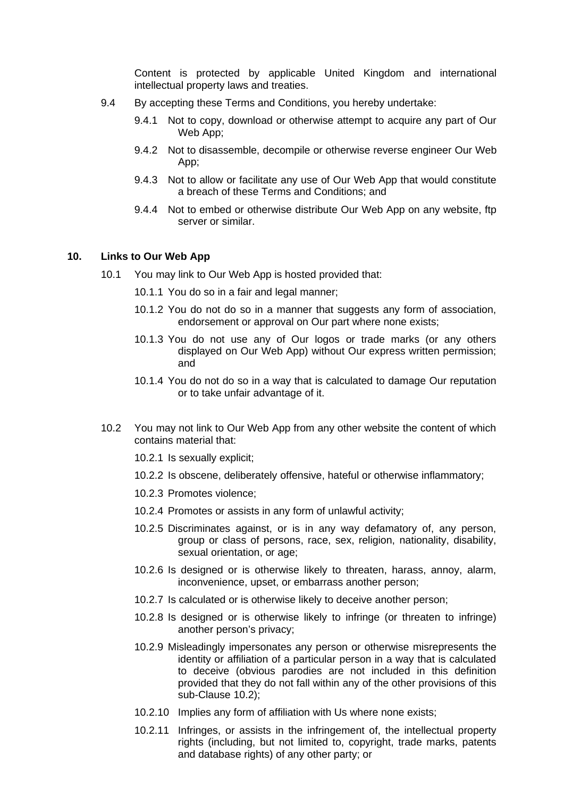Content is protected by applicable United Kingdom and international intellectual property laws and treaties.

- 9.4 By accepting these Terms and Conditions, you hereby undertake:
	- 9.4.1 Not to copy, download or otherwise attempt to acquire any part of Our Web App:
	- 9.4.2 Not to disassemble, decompile or otherwise reverse engineer Our Web App;
	- 9.4.3 Not to allow or facilitate any use of Our Web App that would constitute a breach of these Terms and Conditions; and
	- 9.4.4 Not to embed or otherwise distribute Our Web App on any website, ftp server or similar.

### **10. Links to Our Web App**

- 10.1 You may link to Our Web App is hosted provided that:
	- 10.1.1 You do so in a fair and legal manner;
	- 10.1.2 You do not do so in a manner that suggests any form of association, endorsement or approval on Our part where none exists;
	- 10.1.3 You do not use any of Our logos or trade marks (or any others displayed on Our Web App) without Our express written permission; and
	- 10.1.4 You do not do so in a way that is calculated to damage Our reputation or to take unfair advantage of it.
- 10.2 You may not link to Our Web App from any other website the content of which contains material that:
	- 10.2.1 Is sexually explicit;
	- 10.2.2 Is obscene, deliberately offensive, hateful or otherwise inflammatory;
	- 10.2.3 Promotes violence;
	- 10.2.4 Promotes or assists in any form of unlawful activity;
	- 10.2.5 Discriminates against, or is in any way defamatory of, any person, group or class of persons, race, sex, religion, nationality, disability, sexual orientation, or age;
	- 10.2.6 Is designed or is otherwise likely to threaten, harass, annoy, alarm, inconvenience, upset, or embarrass another person;
	- 10.2.7 Is calculated or is otherwise likely to deceive another person;
	- 10.2.8 Is designed or is otherwise likely to infringe (or threaten to infringe) another person's privacy;
	- 10.2.9 Misleadingly impersonates any person or otherwise misrepresents the identity or affiliation of a particular person in a way that is calculated to deceive (obvious parodies are not included in this definition provided that they do not fall within any of the other provisions of this sub-Clause 10.2);
	- 10.2.10 Implies any form of affiliation with Us where none exists;
	- 10.2.11 Infringes, or assists in the infringement of, the intellectual property rights (including, but not limited to, copyright, trade marks, patents and database rights) of any other party; or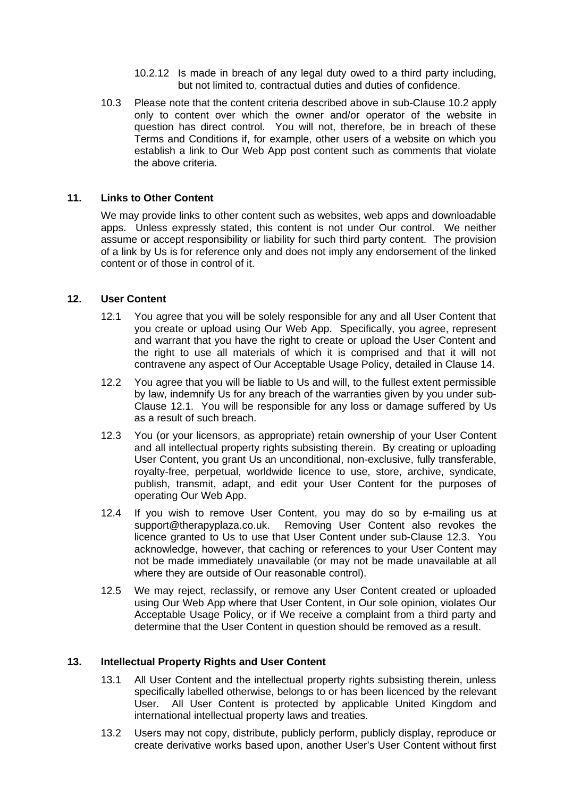- 10.2.12 Is made in breach of any legal duty owed to a third party including, but not limited to, contractual duties and duties of confidence.
- 10.3 Please note that the content criteria described above in sub-Clause 10.2 apply only to content over which the owner and/or operator of the website in question has direct control. You will not, therefore, be in breach of these Terms and Conditions if, for example, other users of a website on which you establish a link to Our Web App post content such as comments that violate the above criteria.

### **11. Links to Other Content**

We may provide links to other content such as websites, web apps and downloadable apps. Unless expressly stated, this content is not under Our control. We neither assume or accept responsibility or liability for such third party content. The provision of a link by Us is for reference only and does not imply any endorsement of the linked content or of those in control of it.

### **12. User Content**

- 12.1 You agree that you will be solely responsible for any and all User Content that you create or upload using Our Web App. Specifically, you agree, represent and warrant that you have the right to create or upload the User Content and the right to use all materials of which it is comprised and that it will not contravene any aspect of Our Acceptable Usage Policy, detailed in Clause 14.
- 12.2 You agree that you will be liable to Us and will, to the fullest extent permissible by law, indemnify Us for any breach of the warranties given by you under sub-Clause 12.1. You will be responsible for any loss or damage suffered by Us as a result of such breach.
- 12.3 You (or your licensors, as appropriate) retain ownership of your User Content and all intellectual property rights subsisting therein. By creating or uploading User Content, you grant Us an unconditional, non-exclusive, fully transferable, royalty-free, perpetual, worldwide licence to use, store, archive, syndicate, publish, transmit, adapt, and edit your User Content for the purposes of operating Our Web App.
- 12.4 If you wish to remove User Content, you may do so by e-mailing us at support@therapyplaza.co.uk. Removing User Content also revokes the licence granted to Us to use that User Content under sub-Clause 12.3. You acknowledge, however, that caching or references to your User Content may not be made immediately unavailable (or may not be made unavailable at all where they are outside of Our reasonable control).
- 12.5 We may reject, reclassify, or remove any User Content created or uploaded using Our Web App where that User Content, in Our sole opinion, violates Our Acceptable Usage Policy, or if We receive a complaint from a third party and determine that the User Content in question should be removed as a result.

### **13. Intellectual Property Rights and User Content**

- 13.1 All User Content and the intellectual property rights subsisting therein, unless specifically labelled otherwise, belongs to or has been licenced by the relevant User. All User Content is protected by applicable United Kingdom and international intellectual property laws and treaties.
- 13.2 Users may not copy, distribute, publicly perform, publicly display, reproduce or create derivative works based upon, another User's User Content without first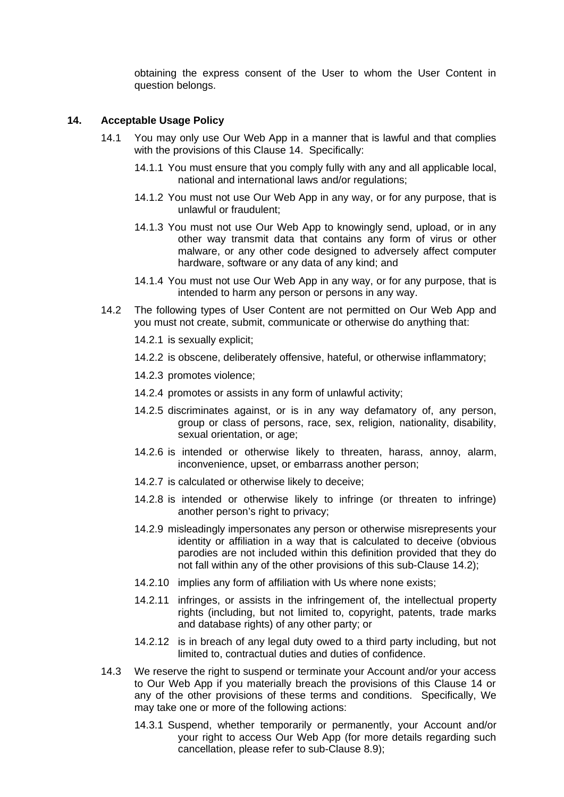obtaining the express consent of the User to whom the User Content in question belongs.

### **14. Acceptable Usage Policy**

- 14.1 You may only use Our Web App in a manner that is lawful and that complies with the provisions of this Clause 14. Specifically:
	- 14.1.1 You must ensure that you comply fully with any and all applicable local, national and international laws and/or regulations;
	- 14.1.2 You must not use Our Web App in any way, or for any purpose, that is unlawful or fraudulent;
	- 14.1.3 You must not use Our Web App to knowingly send, upload, or in any other way transmit data that contains any form of virus or other malware, or any other code designed to adversely affect computer hardware, software or any data of any kind; and
	- 14.1.4 You must not use Our Web App in any way, or for any purpose, that is intended to harm any person or persons in any way.
- 14.2 The following types of User Content are not permitted on Our Web App and you must not create, submit, communicate or otherwise do anything that:
	- 14.2.1 is sexually explicit;
	- 14.2.2 is obscene, deliberately offensive, hateful, or otherwise inflammatory;
	- 14.2.3 promotes violence;
	- 14.2.4 promotes or assists in any form of unlawful activity;
	- 14.2.5 discriminates against, or is in any way defamatory of, any person, group or class of persons, race, sex, religion, nationality, disability, sexual orientation, or age;
	- 14.2.6 is intended or otherwise likely to threaten, harass, annoy, alarm, inconvenience, upset, or embarrass another person;
	- 14.2.7 is calculated or otherwise likely to deceive;
	- 14.2.8 is intended or otherwise likely to infringe (or threaten to infringe) another person's right to privacy;
	- 14.2.9 misleadingly impersonates any person or otherwise misrepresents your identity or affiliation in a way that is calculated to deceive (obvious parodies are not included within this definition provided that they do not fall within any of the other provisions of this sub-Clause 14.2);
	- 14.2.10 implies any form of affiliation with Us where none exists;
	- 14.2.11 infringes, or assists in the infringement of, the intellectual property rights (including, but not limited to, copyright, patents, trade marks and database rights) of any other party; or
	- 14.2.12 is in breach of any legal duty owed to a third party including, but not limited to, contractual duties and duties of confidence.
- 14.3 We reserve the right to suspend or terminate your Account and/or your access to Our Web App if you materially breach the provisions of this Clause 14 or any of the other provisions of these terms and conditions. Specifically, We may take one or more of the following actions:
	- 14.3.1 Suspend, whether temporarily or permanently, your Account and/or your right to access Our Web App (for more details regarding such cancellation, please refer to sub-Clause 8.9);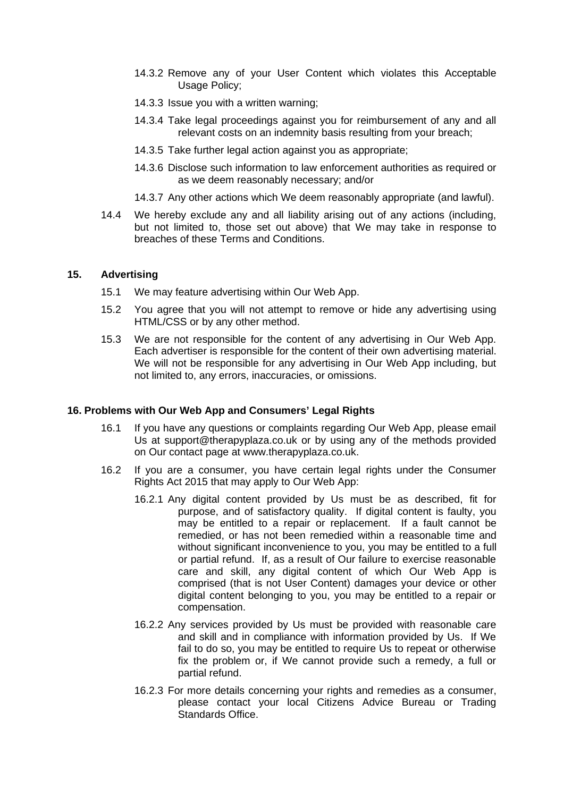- 14.3.2 Remove any of your User Content which violates this Acceptable Usage Policy;
- 14.3.3 Issue you with a written warning;
- 14.3.4 Take legal proceedings against you for reimbursement of any and all relevant costs on an indemnity basis resulting from your breach;
- 14.3.5 Take further legal action against you as appropriate;
- 14.3.6 Disclose such information to law enforcement authorities as required or as we deem reasonably necessary; and/or
- 14.3.7 Any other actions which We deem reasonably appropriate (and lawful).
- 14.4 We hereby exclude any and all liability arising out of any actions (including, but not limited to, those set out above) that We may take in response to breaches of these Terms and Conditions.

### **15. Advertising**

- 15.1 We may feature advertising within Our Web App.
- 15.2 You agree that you will not attempt to remove or hide any advertising using HTML/CSS or by any other method.
- 15.3 We are not responsible for the content of any advertising in Our Web App. Each advertiser is responsible for the content of their own advertising material. We will not be responsible for any advertising in Our Web App including, but not limited to, any errors, inaccuracies, or omissions.

### **16. Problems with Our Web App and Consumers' Legal Rights**

- 16.1 If you have any questions or complaints regarding Our Web App, please email Us at support@therapyplaza.co.uk or by using any of the methods provided on Our contact page at www.therapyplaza.co.uk.
- 16.2 If you are a consumer, you have certain legal rights under the Consumer Rights Act 2015 that may apply to Our Web App:
	- 16.2.1 Any digital content provided by Us must be as described, fit for purpose, and of satisfactory quality. If digital content is faulty, you may be entitled to a repair or replacement. If a fault cannot be remedied, or has not been remedied within a reasonable time and without significant inconvenience to you, you may be entitled to a full or partial refund. If, as a result of Our failure to exercise reasonable care and skill, any digital content of which Our Web App is comprised (that is not User Content) damages your device or other digital content belonging to you, you may be entitled to a repair or compensation.
	- 16.2.2 Any services provided by Us must be provided with reasonable care and skill and in compliance with information provided by Us. If We fail to do so, you may be entitled to require Us to repeat or otherwise fix the problem or, if We cannot provide such a remedy, a full or partial refund.
	- 16.2.3 For more details concerning your rights and remedies as a consumer, please contact your local Citizens Advice Bureau or Trading Standards Office.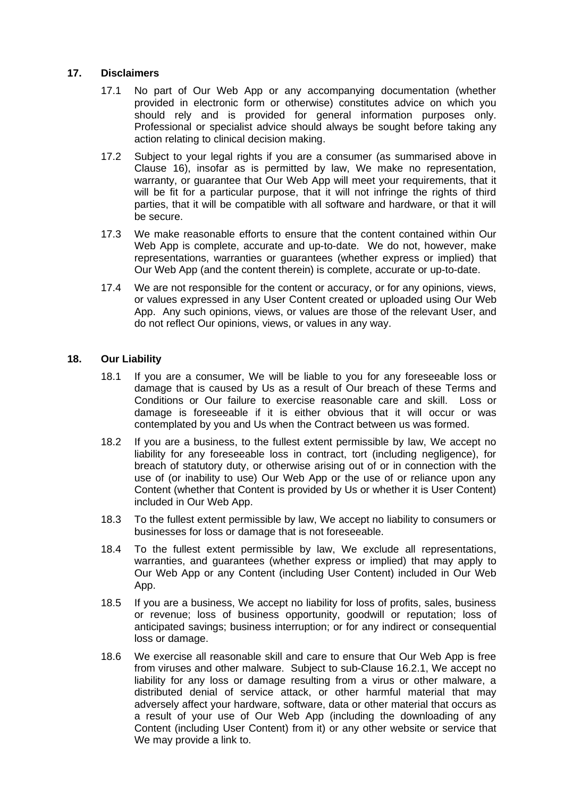### **17. Disclaimers**

- 17.1 No part of Our Web App or any accompanying documentation (whether provided in electronic form or otherwise) constitutes advice on which you should rely and is provided for general information purposes only. Professional or specialist advice should always be sought before taking any action relating to clinical decision making.
- 17.2 Subject to your legal rights if you are a consumer (as summarised above in Clause 16), insofar as is permitted by law, We make no representation, warranty, or guarantee that Our Web App will meet your requirements, that it will be fit for a particular purpose, that it will not infringe the rights of third parties, that it will be compatible with all software and hardware, or that it will be secure.
- 17.3 We make reasonable efforts to ensure that the content contained within Our Web App is complete, accurate and up-to-date. We do not, however, make representations, warranties or guarantees (whether express or implied) that Our Web App (and the content therein) is complete, accurate or up-to-date.
- 17.4 We are not responsible for the content or accuracy, or for any opinions, views, or values expressed in any User Content created or uploaded using Our Web App. Any such opinions, views, or values are those of the relevant User, and do not reflect Our opinions, views, or values in any way.

### **18. Our Liability**

- 18.1 If you are a consumer, We will be liable to you for any foreseeable loss or damage that is caused by Us as a result of Our breach of these Terms and Conditions or Our failure to exercise reasonable care and skill. Loss or damage is foreseeable if it is either obvious that it will occur or was contemplated by you and Us when the Contract between us was formed.
- 18.2 If you are a business, to the fullest extent permissible by law, We accept no liability for any foreseeable loss in contract, tort (including negligence), for breach of statutory duty, or otherwise arising out of or in connection with the use of (or inability to use) Our Web App or the use of or reliance upon any Content (whether that Content is provided by Us or whether it is User Content) included in Our Web App.
- 18.3 To the fullest extent permissible by law, We accept no liability to consumers or businesses for loss or damage that is not foreseeable.
- 18.4 To the fullest extent permissible by law, We exclude all representations, warranties, and guarantees (whether express or implied) that may apply to Our Web App or any Content (including User Content) included in Our Web App.
- 18.5 If you are a business, We accept no liability for loss of profits, sales, business or revenue; loss of business opportunity, goodwill or reputation; loss of anticipated savings; business interruption; or for any indirect or consequential loss or damage.
- 18.6 We exercise all reasonable skill and care to ensure that Our Web App is free from viruses and other malware. Subject to sub-Clause 16.2.1, We accept no liability for any loss or damage resulting from a virus or other malware, a distributed denial of service attack, or other harmful material that may adversely affect your hardware, software, data or other material that occurs as a result of your use of Our Web App (including the downloading of any Content (including User Content) from it) or any other website or service that We may provide a link to.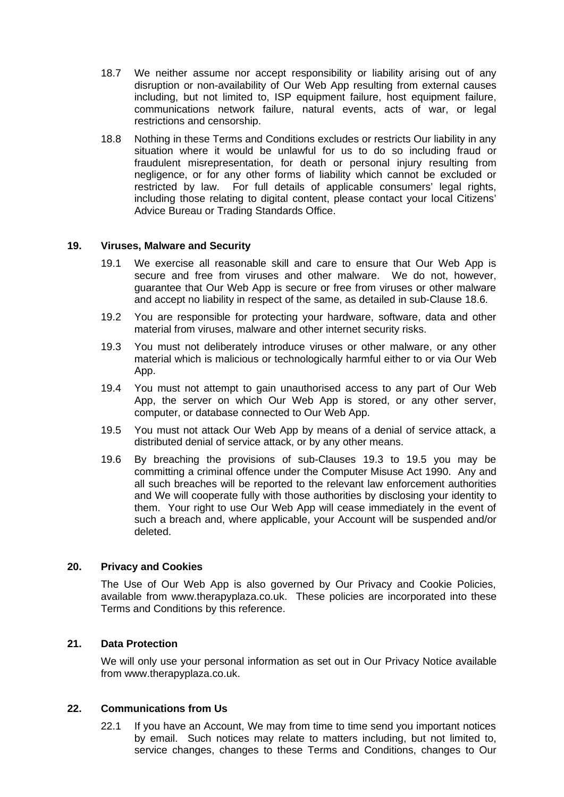- 18.7 We neither assume nor accept responsibility or liability arising out of any disruption or non-availability of Our Web App resulting from external causes including, but not limited to, ISP equipment failure, host equipment failure, communications network failure, natural events, acts of war, or legal restrictions and censorship.
- 18.8 Nothing in these Terms and Conditions excludes or restricts Our liability in any situation where it would be unlawful for us to do so including fraud or fraudulent misrepresentation, for death or personal injury resulting from negligence, or for any other forms of liability which cannot be excluded or restricted by law. For full details of applicable consumers' legal rights, including those relating to digital content, please contact your local Citizens' Advice Bureau or Trading Standards Office.

### **19. Viruses, Malware and Security**

- 19.1 We exercise all reasonable skill and care to ensure that Our Web App is secure and free from viruses and other malware. We do not, however, guarantee that Our Web App is secure or free from viruses or other malware and accept no liability in respect of the same, as detailed in sub-Clause 18.6.
- 19.2 You are responsible for protecting your hardware, software, data and other material from viruses, malware and other internet security risks.
- 19.3 You must not deliberately introduce viruses or other malware, or any other material which is malicious or technologically harmful either to or via Our Web App.
- 19.4 You must not attempt to gain unauthorised access to any part of Our Web App, the server on which Our Web App is stored, or any other server, computer, or database connected to Our Web App.
- 19.5 You must not attack Our Web App by means of a denial of service attack, a distributed denial of service attack, or by any other means.
- 19.6 By breaching the provisions of sub-Clauses 19.3 to 19.5 you may be committing a criminal offence under the Computer Misuse Act 1990. Any and all such breaches will be reported to the relevant law enforcement authorities and We will cooperate fully with those authorities by disclosing your identity to them. Your right to use Our Web App will cease immediately in the event of such a breach and, where applicable, your Account will be suspended and/or deleted.

### **20. Privacy and Cookies**

The Use of Our Web App is also governed by Our Privacy and Cookie Policies, available from www.therapyplaza.co.uk. These policies are incorporated into these Terms and Conditions by this reference.

# **21. Data Protection**

We will only use your personal information as set out in Our Privacy Notice available from www.therapyplaza.co.uk.

### **22. Communications from Us**

22.1 If you have an Account, We may from time to time send you important notices by email. Such notices may relate to matters including, but not limited to, service changes, changes to these Terms and Conditions, changes to Our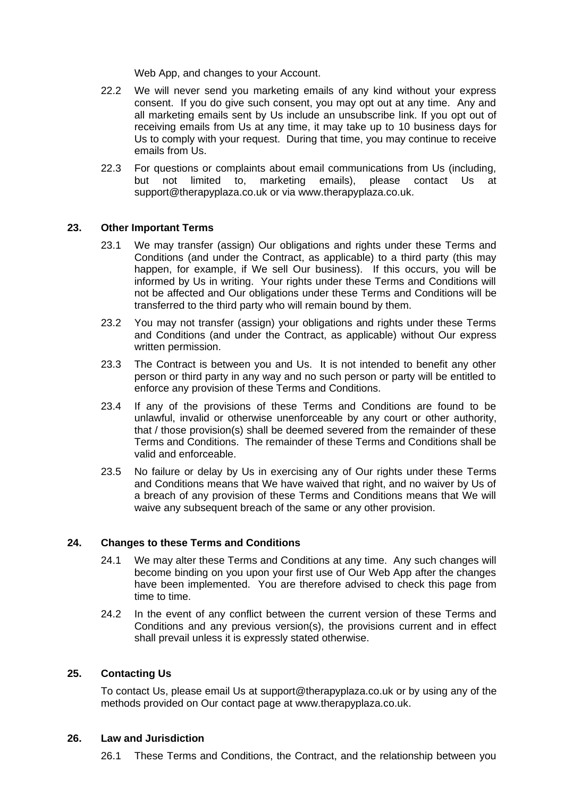Web App, and changes to your Account.

- 22.2 We will never send you marketing emails of any kind without your express consent. If you do give such consent, you may opt out at any time. Any and all marketing emails sent by Us include an unsubscribe link. If you opt out of receiving emails from Us at any time, it may take up to 10 business days for Us to comply with your request. During that time, you may continue to receive emails from Us.
- 22.3 For questions or complaints about email communications from Us (including, but not limited to, marketing emails), please contact Us at support@therapyplaza.co.uk or via www.therapyplaza.co.uk.

### **23. Other Important Terms**

- 23.1 We may transfer (assign) Our obligations and rights under these Terms and Conditions (and under the Contract, as applicable) to a third party (this may happen, for example, if We sell Our business). If this occurs, you will be informed by Us in writing. Your rights under these Terms and Conditions will not be affected and Our obligations under these Terms and Conditions will be transferred to the third party who will remain bound by them.
- 23.2 You may not transfer (assign) your obligations and rights under these Terms and Conditions (and under the Contract, as applicable) without Our express written permission.
- 23.3 The Contract is between you and Us. It is not intended to benefit any other person or third party in any way and no such person or party will be entitled to enforce any provision of these Terms and Conditions.
- 23.4 If any of the provisions of these Terms and Conditions are found to be unlawful, invalid or otherwise unenforceable by any court or other authority, that / those provision(s) shall be deemed severed from the remainder of these Terms and Conditions. The remainder of these Terms and Conditions shall be valid and enforceable.
- 23.5 No failure or delay by Us in exercising any of Our rights under these Terms and Conditions means that We have waived that right, and no waiver by Us of a breach of any provision of these Terms and Conditions means that We will waive any subsequent breach of the same or any other provision.

### **24. Changes to these Terms and Conditions**

- 24.1 We may alter these Terms and Conditions at any time. Any such changes will become binding on you upon your first use of Our Web App after the changes have been implemented. You are therefore advised to check this page from time to time.
- 24.2 In the event of any conflict between the current version of these Terms and Conditions and any previous version(s), the provisions current and in effect shall prevail unless it is expressly stated otherwise.

### **25. Contacting Us**

To contact Us, please email Us at support@therapyplaza.co.uk or by using any of the methods provided on Our contact page at www.therapyplaza.co.uk.

### **26. Law and Jurisdiction**

26.1 These Terms and Conditions, the Contract, and the relationship between you